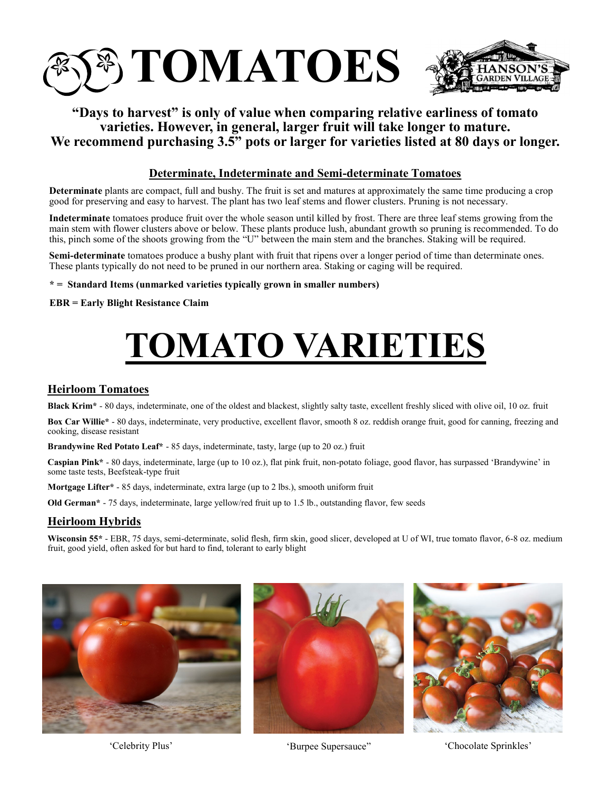

# **"Days to harvest" is only of value when comparing relative earliness of tomato varieties. However, in general, larger fruit will take longer to mature. We recommend purchasing 3.5" pots or larger for varieties listed at 80 days or longer.**

#### **Determinate, Indeterminate and Semi-determinate Tomatoes**

**Determinate** plants are compact, full and bushy. The fruit is set and matures at approximately the same time producing a crop good for preserving and easy to harvest. The plant has two leaf stems and flower clusters. Pruning is not necessary.

**Indeterminate** tomatoes produce fruit over the whole season until killed by frost. There are three leaf stems growing from the main stem with flower clusters above or below. These plants produce lush, abundant growth so pruning is recommended. To do this, pinch some of the shoots growing from the "U" between the main stem and the branches. Staking will be required.

**Semi-determinate** tomatoes produce a bushy plant with fruit that ripens over a longer period of time than determinate ones. These plants typically do not need to be pruned in our northern area. Staking or caging will be required.

**\* = Standard Items (unmarked varieties typically grown in smaller numbers)**

**EBR = Early Blight Resistance Claim**

# **TOMATO VARIETIES**

#### **Heirloom Tomatoes**

**Black Krim\*** - 80 days, indeterminate, one of the oldest and blackest, slightly salty taste, excellent freshly sliced with olive oil, 10 oz. fruit

**Box Car Willie\*** - 80 days, indeterminate, very productive, excellent flavor, smooth 8 oz. reddish orange fruit, good for canning, freezing and cooking, disease resistant

**Brandywine Red Potato Leaf\*** - 85 days, indeterminate, tasty, large (up to 20 oz.) fruit

**Caspian Pink\*** - 80 days, indeterminate, large (up to 10 oz.), flat pink fruit, non-potato foliage, good flavor, has surpassed 'Brandywine' in some taste tests, Beefsteak-type fruit

**Mortgage Lifter\*** - 85 days, indeterminate, extra large (up to 2 lbs.), smooth uniform fruit

**Old German\*** - 75 days, indeterminate, large yellow/red fruit up to 1.5 lb., outstanding flavor, few seeds

#### **Heirloom Hybrids**

**Wisconsin 55\*** - EBR, 75 days, semi-determinate, solid flesh, firm skin, good slicer, developed at U of WI, true tomato flavor, 6-8 oz. medium fruit, good yield, often asked for but hard to find, tolerant to early blight







'Celebrity Plus' 'Burpee Supersauce" 'Chocolate Sprinkles'